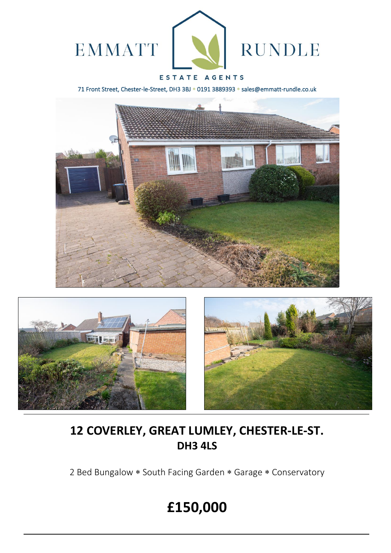

### ESTATE AGENTS

71 Front Street, Chester-le-Street, DH3 3BJ \* 0191 3889393 \* sales@emmatt-rundle.co.uk







## **12 COVERLEY, GREAT LUMLEY, CHESTER-LE-ST. DH3 4LS**

2 Bed Bungalow \* South Facing Garden \* Garage \* Conservatory

# **£150,000**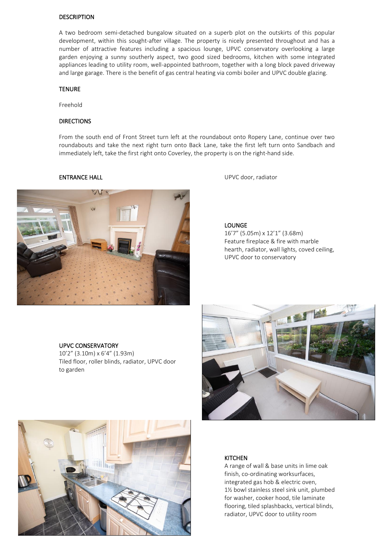#### DESCRIPTION

A two bedroom semi-detached bungalow situated on a superb plot on the outskirts of this popular development, within this sought-after village. The property is nicely presented throughout and has a number of attractive features including a spacious lounge, UPVC conservatory overlooking a large garden enjoying a sunny southerly aspect, two good sized bedrooms, kitchen with some integrated appliances leading to utility room, well-appointed bathroom, together with a long block paved driveway and large garage. There is the benefit of gas central heating via combi boiler and UPVC double glazing.

#### **TENURE**

Freehold

#### DIRECTIONS

From the south end of Front Street turn left at the roundabout onto Ropery Lane, continue over two roundabouts and take the next right turn onto Back Lane, take the first left turn onto Sandbach and immediately left, take the first right onto Coverley, the property is on the right-hand side.



**ENTRANCE HALL ENTRANCE HALL ENTRANCE HALL** 

LOUNGE

16'7" (5.05m) x 12'1" (3.68m) Feature fireplace & fire with marble hearth, radiator, wall lights, coved ceiling, UPVC door to conservatory

#### UPVC CONSERVATORY

10'2" (3.10m) x 6'4" (1.93m) Tiled floor, roller blinds, radiator, UPVC door to garden



#### **KITCHEN**

A range of wall & base units in lime oak finish, co-ordinating worksurfaces, integrated gas hob & electric oven, 1½ bowl stainless steel sink unit, plumbed for washer, cooker hood, tile laminate flooring, tiled splashbacks, vertical blinds, radiator, UPVC door to utility room

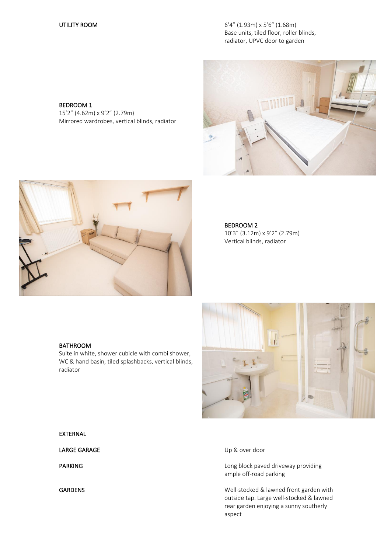UTILITY ROOM 6'4" (1.93m) x 5'6" (1.68m) Base units, tiled floor, roller blinds, radiator, UPVC door to garden

#### BEDROOM 1

15'2" (4.62m) x 9'2" (2.79m) Mirrored wardrobes, vertical blinds, radiator





#### BEDROOM 2 10'3" (3.12m) x 9'2" (2.79m) Vertical blinds, radiator

### BATHROOM

Suite in white, shower cubicle with combi shower, WC & hand basin, tiled splashbacks, vertical blinds, radiator



#### **EXTERNAL**

LARGE GARAGE Up & over door

PARKING **PARKING EXECUTES Long block paved driveway providing** ample off-road parking

GARDENS GARDENS GARDENS Well-stocked & lawned front garden with outside tap. Large well-stocked & lawned rear garden enjoying a sunny southerly aspect